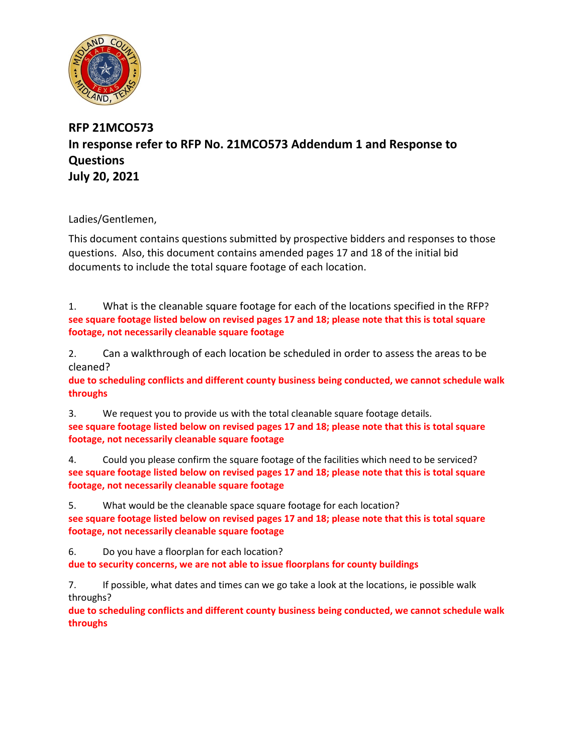

## **RFP 21MCO573 In response refer to RFP No. 21MCO573 Addendum 1 and Response to Questions July 20, 2021**

Ladies/Gentlemen,

This document contains questions submitted by prospective bidders and responses to those questions. Also, this document contains amended pages 17 and 18 of the initial bid documents to include the total square footage of each location.

1. What is the cleanable square footage for each of the locations specified in the RFP? **see square footage listed below on revised pages 17 and 18; please note that this is total square footage, not necessarily cleanable square footage**

2. Can a walkthrough of each location be scheduled in order to assess the areas to be cleaned?

**due to scheduling conflicts and different county business being conducted, we cannot schedule walk throughs**

3. We request you to provide us with the total cleanable square footage details. **see square footage listed below on revised pages 17 and 18; please note that this is total square footage, not necessarily cleanable square footage**

4. Could you please confirm the square footage of the facilities which need to be serviced? **see square footage listed below on revised pages 17 and 18; please note that this is total square footage, not necessarily cleanable square footage**

5. What would be the cleanable space square footage for each location? **see square footage listed below on revised pages 17 and 18; please note that this is total square footage, not necessarily cleanable square footage**

6. Do you have a floorplan for each location?

**due to security concerns, we are not able to issue floorplans for county buildings**

7. If possible, what dates and times can we go take a look at the locations, ie possible walk throughs?

**due to scheduling conflicts and different county business being conducted, we cannot schedule walk throughs**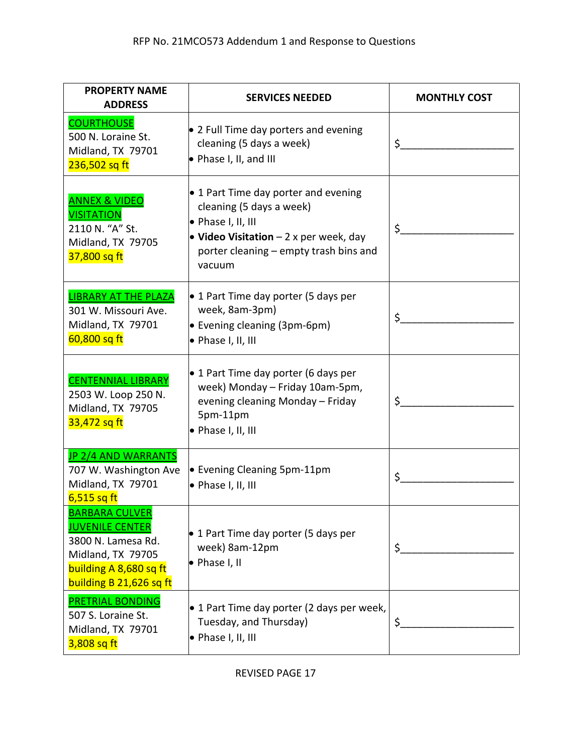| <b>PROPERTY NAME</b><br><b>ADDRESS</b>                                                                                                          | <b>SERVICES NEEDED</b>                                                                                                                                                               | <b>MONTHLY COST</b> |
|-------------------------------------------------------------------------------------------------------------------------------------------------|--------------------------------------------------------------------------------------------------------------------------------------------------------------------------------------|---------------------|
| <b>COURTHOUSE</b><br>500 N. Loraine St.<br>Midland, TX 79701<br>236,502 sq ft                                                                   | • 2 Full Time day porters and evening<br>cleaning (5 days a week)<br>• Phase I, II, and III                                                                                          | \$.                 |
| <b>ANNEX &amp; VIDEO</b><br><b>VISITATION</b><br>2110 N. "A" St.<br>Midland, TX 79705<br>37,800 sq ft                                           | • 1 Part Time day porter and evening<br>cleaning (5 days a week)<br>• Phase I, II, III<br>• Video Visitation $-2x$ per week, day<br>porter cleaning – empty trash bins and<br>vacuum | \$                  |
| <b>LIBRARY AT THE PLAZA</b><br>301 W. Missouri Ave.<br>Midland, TX 79701<br>60,800 sq ft                                                        | • 1 Part Time day porter (5 days per<br>week, 8am-3pm)<br>• Evening cleaning (3pm-6pm)<br>• Phase I, II, III                                                                         | \$.                 |
| <b>CENTENNIAL LIBRARY</b><br>2503 W. Loop 250 N.<br>Midland, TX 79705<br>33,472 sq ft                                                           | • 1 Part Time day porter (6 days per<br>week) Monday - Friday 10am-5pm,<br>evening cleaning Monday - Friday<br>5pm-11pm<br>• Phase I, II, III                                        | Ś.                  |
| <b>JP 2/4 AND WARRANTS</b><br>707 W. Washington Ave<br>Midland, TX 79701<br>$6,515$ sq ft                                                       | • Evening Cleaning 5pm-11pm<br>• Phase I, II, III                                                                                                                                    | \$                  |
| <b>BARBARA CULVER</b><br><b>JUVENILE CENTER</b><br>3800 N. Lamesa Rd.<br>Midland, TX 79705<br>building A 8,680 sq ft<br>building B 21,626 sq ft | • 1 Part Time day porter (5 days per<br>week) 8am-12pm<br>• Phase I, II                                                                                                              | \$                  |
| <b>PRETRIAL BONDING</b><br>507 S. Loraine St.<br>Midland, TX 79701<br>3,808 sq ft                                                               | • 1 Part Time day porter (2 days per week,<br>Tuesday, and Thursday)<br>• Phase I, II, III                                                                                           | \$                  |